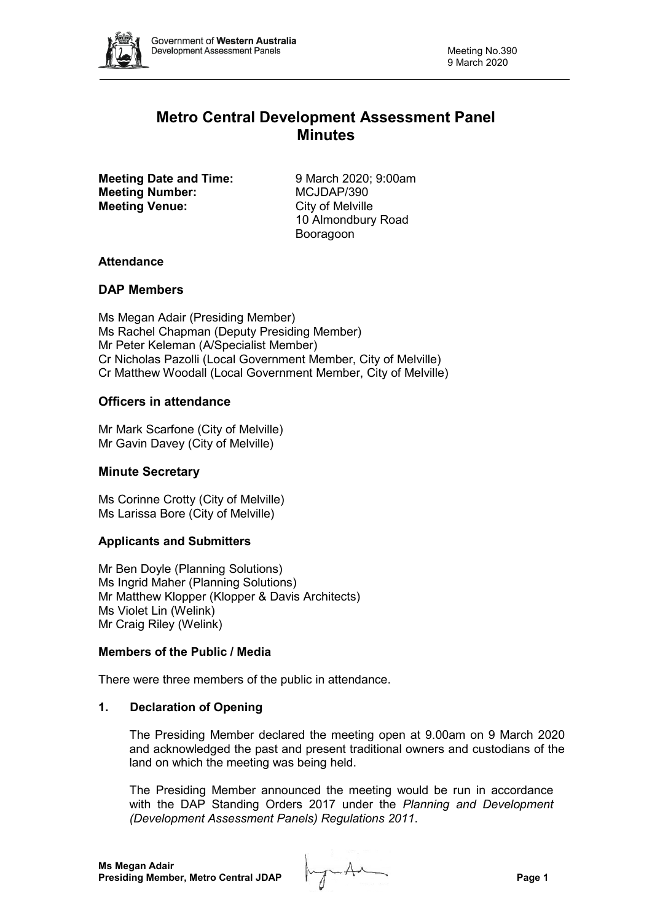

# **Metro Central Development Assessment Panel Minutes**

**Meeting Date and Time:** 9 March 2020; 9:00am **Meeting Number:** MCJDAP/390 **Meeting Venue:** City of Melville

10 Almondbury Road Booragoon

# **Attendance**

# **DAP Members**

Ms Megan Adair (Presiding Member) Ms Rachel Chapman (Deputy Presiding Member) Mr Peter Keleman (A/Specialist Member) Cr Nicholas Pazolli (Local Government Member, City of Melville) Cr Matthew Woodall (Local Government Member, City of Melville)

# **Officers in attendance**

Mr Mark Scarfone (City of Melville) Mr Gavin Davey (City of Melville)

# **Minute Secretary**

Ms Corinne Crotty (City of Melville) Ms Larissa Bore (City of Melville)

# **Applicants and Submitters**

Mr Ben Doyle (Planning Solutions) Ms Ingrid Maher (Planning Solutions) Mr Matthew Klopper (Klopper & Davis Architects) Ms Violet Lin (Welink) Mr Craig Riley (Welink)

# **Members of the Public / Media**

There were three members of the public in attendance.

# **1. Declaration of Opening**

The Presiding Member declared the meeting open at 9.00am on 9 March 2020 and acknowledged the past and present traditional owners and custodians of the land on which the meeting was being held.

The Presiding Member announced the meeting would be run in accordance with the DAP Standing Orders 2017 under the *Planning and Development (Development Assessment Panels) Regulations 2011*.

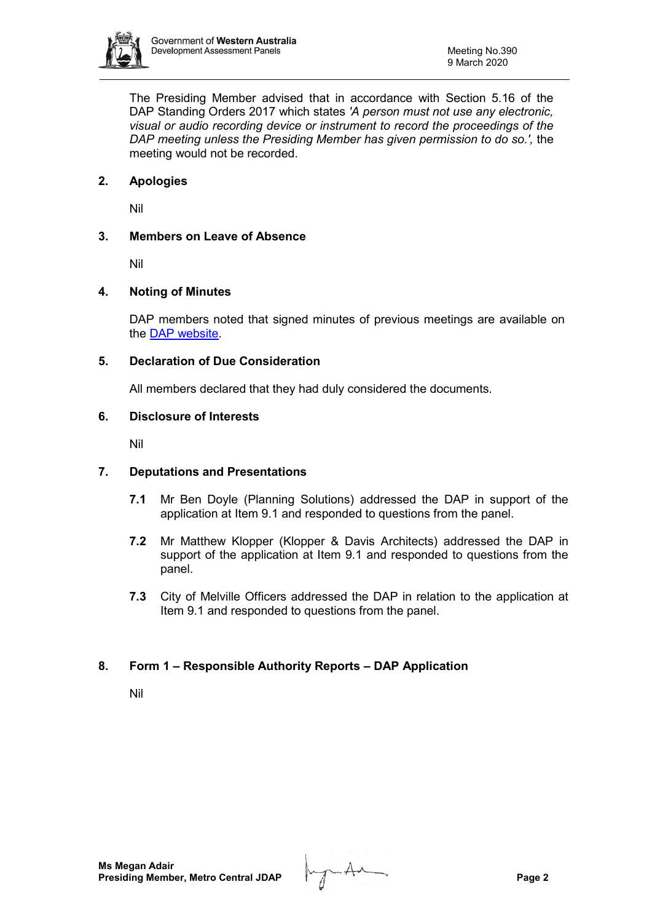

The Presiding Member advised that in accordance with Section 5.16 of the DAP Standing Orders 2017 which states *'A person must not use any electronic, visual or audio recording device or instrument to record the proceedings of the DAP meeting unless the Presiding Member has given permission to do so.',* the meeting would not be recorded.

# **2. Apologies**

Nil

# **3. Members on Leave of Absence**

Nil

# **4. Noting of Minutes**

DAP members noted that signed minutes of previous meetings are available on the [DAP website.](https://www.planning.wa.gov.au/7578.aspx)

# **5. Declaration of Due Consideration**

All members declared that they had duly considered the documents.

# **6. Disclosure of Interests**

Nil

# **7. Deputations and Presentations**

- **7.1** Mr Ben Doyle (Planning Solutions) addressed the DAP in support of the application at Item 9.1 and responded to questions from the panel.
- **7.2** Mr Matthew Klopper (Klopper & Davis Architects) addressed the DAP in support of the application at Item 9.1 and responded to questions from the panel.
- **7.3** City of Melville Officers addressed the DAP in relation to the application at Item 9.1 and responded to questions from the panel.

# **8. Form 1 – Responsible Authority Reports – DAP Application**

Nil

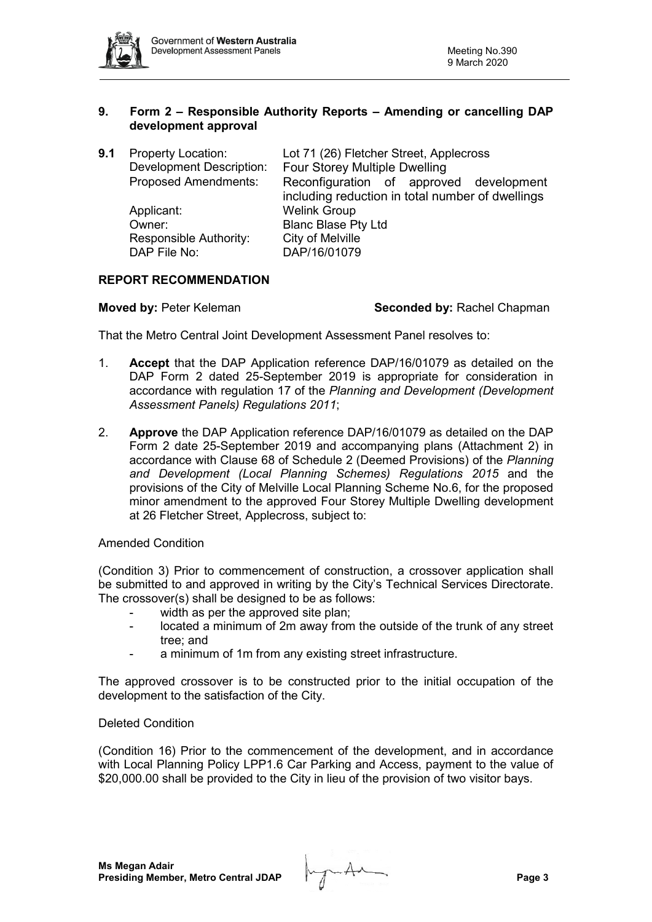

## **9. Form 2 – Responsible Authority Reports – Amending or cancelling DAP development approval**

| 9.1 | <b>Property Location:</b>       | Lot 71 (26) Fletcher Street, Applecross          |  |
|-----|---------------------------------|--------------------------------------------------|--|
|     | <b>Development Description:</b> | Four Storey Multiple Dwelling                    |  |
|     | <b>Proposed Amendments:</b>     | Reconfiguration of approved development          |  |
|     |                                 | including reduction in total number of dwellings |  |
|     | Applicant:                      | <b>Welink Group</b>                              |  |
|     | Owner:                          | <b>Blanc Blase Pty Ltd</b>                       |  |
|     | Responsible Authority:          | City of Melville                                 |  |
|     | DAP File No:                    | DAP/16/01079                                     |  |
|     |                                 |                                                  |  |

# **REPORT RECOMMENDATION**

**Moved by: Peter Keleman <b>Seconded by:** Rachel Chapman **Seconded by:** Rachel Chapman

That the Metro Central Joint Development Assessment Panel resolves to:

- 1. **Accept** that the DAP Application reference DAP/16/01079 as detailed on the DAP Form 2 dated 25-September 2019 is appropriate for consideration in accordance with regulation 17 of the *Planning and Development (Development Assessment Panels) Regulations 2011*;
- 2. **Approve** the DAP Application reference DAP/16/01079 as detailed on the DAP Form 2 date 25-September 2019 and accompanying plans (Attachment 2) in accordance with Clause 68 of Schedule 2 (Deemed Provisions) of the *Planning and Development (Local Planning Schemes) Regulations 2015* and the provisions of the City of Melville Local Planning Scheme No.6, for the proposed minor amendment to the approved Four Storey Multiple Dwelling development at 26 Fletcher Street, Applecross, subject to:

#### Amended Condition

(Condition 3) Prior to commencement of construction, a crossover application shall be submitted to and approved in writing by the City's Technical Services Directorate. The crossover(s) shall be designed to be as follows:

- width as per the approved site plan;
- located a minimum of 2m away from the outside of the trunk of any street tree; and
- a minimum of 1m from any existing street infrastructure.

The approved crossover is to be constructed prior to the initial occupation of the development to the satisfaction of the City.

#### Deleted Condition

(Condition 16) Prior to the commencement of the development, and in accordance with Local Planning Policy LPP1.6 Car Parking and Access, payment to the value of \$20,000.00 shall be provided to the City in lieu of the provision of two visitor bays.

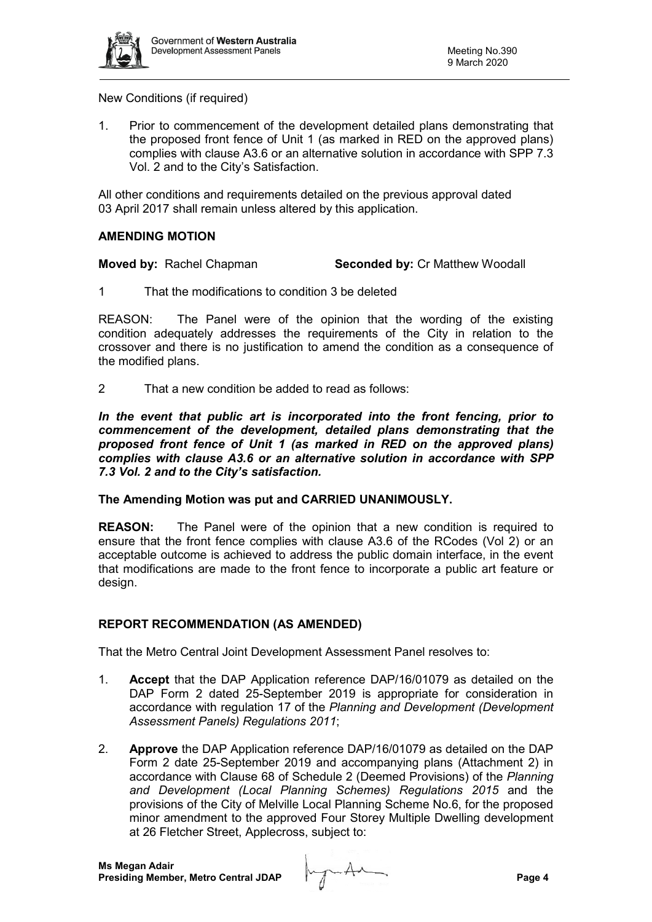

# New Conditions (if required)

1. Prior to commencement of the development detailed plans demonstrating that the proposed front fence of Unit 1 (as marked in RED on the approved plans) complies with clause A3.6 or an alternative solution in accordance with SPP 7.3 Vol. 2 and to the City's Satisfaction.

All other conditions and requirements detailed on the previous approval dated 03 April 2017 shall remain unless altered by this application.

# **AMENDING MOTION**

**Moved by:** Rachel Chapman **Seconded by:** Cr Matthew Woodall

1 That the modifications to condition 3 be deleted

REASON: The Panel were of the opinion that the wording of the existing condition adequately addresses the requirements of the City in relation to the crossover and there is no justification to amend the condition as a consequence of the modified plans.

2 That a new condition be added to read as follows:

*In the event that public art is incorporated into the front fencing, prior to commencement of the development, detailed plans demonstrating that the proposed front fence of Unit 1 (as marked in RED on the approved plans) complies with clause A3.6 or an alternative solution in accordance with SPP 7.3 Vol. 2 and to the City's satisfaction.*

#### **The Amending Motion was put and CARRIED UNANIMOUSLY.**

**REASON:** The Panel were of the opinion that a new condition is required to ensure that the front fence complies with clause A3.6 of the RCodes (Vol 2) or an acceptable outcome is achieved to address the public domain interface, in the event that modifications are made to the front fence to incorporate a public art feature or design.

# **REPORT RECOMMENDATION (AS AMENDED)**

That the Metro Central Joint Development Assessment Panel resolves to:

- 1. **Accept** that the DAP Application reference DAP/16/01079 as detailed on the DAP Form 2 dated 25-September 2019 is appropriate for consideration in accordance with regulation 17 of the *Planning and Development (Development Assessment Panels) Regulations 2011*;
- 2. **Approve** the DAP Application reference DAP/16/01079 as detailed on the DAP Form 2 date 25-September 2019 and accompanying plans (Attachment 2) in accordance with Clause 68 of Schedule 2 (Deemed Provisions) of the *Planning and Development (Local Planning Schemes) Regulations 2015* and the provisions of the City of Melville Local Planning Scheme No.6, for the proposed minor amendment to the approved Four Storey Multiple Dwelling development at 26 Fletcher Street, Applecross, subject to:

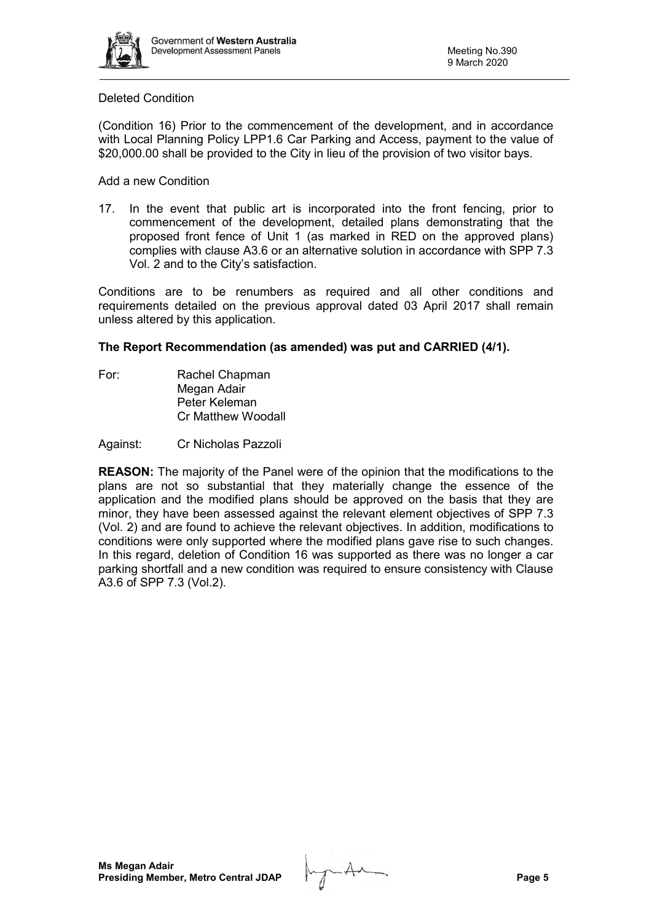

## Deleted Condition

(Condition 16) Prior to the commencement of the development, and in accordance with Local Planning Policy LPP1.6 Car Parking and Access, payment to the value of \$20,000.00 shall be provided to the City in lieu of the provision of two visitor bays.

Add a new Condition

17. In the event that public art is incorporated into the front fencing, prior to commencement of the development, detailed plans demonstrating that the proposed front fence of Unit 1 (as marked in RED on the approved plans) complies with clause A3.6 or an alternative solution in accordance with SPP 7.3 Vol. 2 and to the City's satisfaction.

Conditions are to be renumbers as required and all other conditions and requirements detailed on the previous approval dated 03 April 2017 shall remain unless altered by this application.

# **The Report Recommendation (as amended) was put and CARRIED (4/1).**

For: Rachel Chapman Megan Adair Peter Keleman Cr Matthew Woodall

Against: Cr Nicholas Pazzoli

**REASON:** The majority of the Panel were of the opinion that the modifications to the plans are not so substantial that they materially change the essence of the application and the modified plans should be approved on the basis that they are minor, they have been assessed against the relevant element objectives of SPP 7.3 (Vol. 2) and are found to achieve the relevant objectives. In addition, modifications to conditions were only supported where the modified plans gave rise to such changes. In this regard, deletion of Condition 16 was supported as there was no longer a car parking shortfall and a new condition was required to ensure consistency with Clause A3.6 of SPP 7.3 (Vol.2).